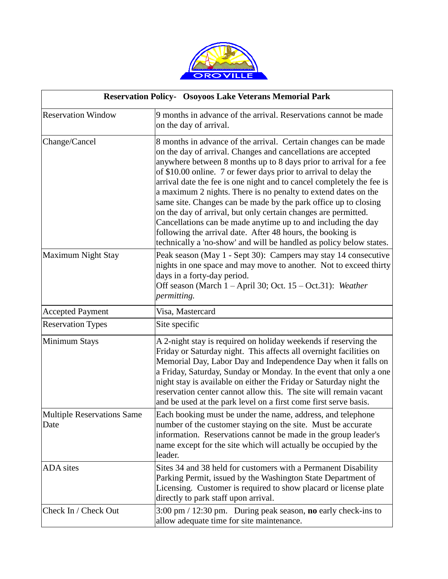

| <b>Reservation Policy- Osoyoos Lake Veterans Memorial Park</b> |                                                                                                                                                                                                                                                                                                                                                                                                                                                                                                                                                                                                                                                                                                                                                                 |  |
|----------------------------------------------------------------|-----------------------------------------------------------------------------------------------------------------------------------------------------------------------------------------------------------------------------------------------------------------------------------------------------------------------------------------------------------------------------------------------------------------------------------------------------------------------------------------------------------------------------------------------------------------------------------------------------------------------------------------------------------------------------------------------------------------------------------------------------------------|--|
| <b>Reservation Window</b>                                      | 9 months in advance of the arrival. Reservations cannot be made<br>on the day of arrival.                                                                                                                                                                                                                                                                                                                                                                                                                                                                                                                                                                                                                                                                       |  |
| Change/Cancel                                                  | 8 months in advance of the arrival. Certain changes can be made<br>on the day of arrival. Changes and cancellations are accepted<br>anywhere between 8 months up to 8 days prior to arrival for a fee<br>of \$10.00 online. 7 or fewer days prior to arrival to delay the<br>arrival date the fee is one night and to cancel completely the fee is<br>a maximum 2 nights. There is no penalty to extend dates on the<br>same site. Changes can be made by the park office up to closing<br>on the day of arrival, but only certain changes are permitted.<br>Cancellations can be made anytime up to and including the day<br>following the arrival date. After 48 hours, the booking is<br>technically a 'no-show' and will be handled as policy below states. |  |
| <b>Maximum Night Stay</b>                                      | Peak season (May 1 - Sept 30): Campers may stay 14 consecutive<br>nights in one space and may move to another. Not to exceed thirty<br>days in a forty-day period.<br>Off season (March 1 - April 30; Oct. 15 - Oct.31): Weather<br>permitting.                                                                                                                                                                                                                                                                                                                                                                                                                                                                                                                 |  |
| <b>Accepted Payment</b>                                        | Visa, Mastercard                                                                                                                                                                                                                                                                                                                                                                                                                                                                                                                                                                                                                                                                                                                                                |  |
| <b>Reservation Types</b>                                       | Site specific                                                                                                                                                                                                                                                                                                                                                                                                                                                                                                                                                                                                                                                                                                                                                   |  |
| Minimum Stays                                                  | A 2-night stay is required on holiday weekends if reserving the<br>Friday or Saturday night. This affects all overnight facilities on<br>Memorial Day, Labor Day and Independence Day when it falls on<br>a Friday, Saturday, Sunday or Monday. In the event that only a one<br>night stay is available on either the Friday or Saturday night the<br>reservation center cannot allow this. The site will remain vacant<br>and be used at the park level on a first come first serve basis.                                                                                                                                                                                                                                                                     |  |
| <b>Multiple Reservations Same</b><br>Date                      | Each booking must be under the name, address, and telephone<br>number of the customer staying on the site. Must be accurate<br>information. Reservations cannot be made in the group leader's<br>name except for the site which will actually be occupied by the<br>leader.                                                                                                                                                                                                                                                                                                                                                                                                                                                                                     |  |
| <b>ADA</b> sites                                               | Sites 34 and 38 held for customers with a Permanent Disability<br>Parking Permit, issued by the Washington State Department of<br>Licensing. Customer is required to show placard or license plate<br>directly to park staff upon arrival.                                                                                                                                                                                                                                                                                                                                                                                                                                                                                                                      |  |
| Check In / Check Out                                           | $3:00 \text{ pm} / 12:30 \text{ pm}$ . During peak season, <b>no</b> early check-ins to<br>allow adequate time for site maintenance.                                                                                                                                                                                                                                                                                                                                                                                                                                                                                                                                                                                                                            |  |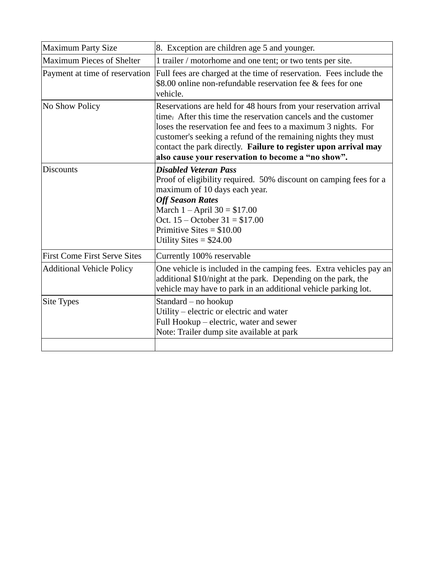| <b>Maximum Party Size</b>           | 8. Exception are children age 5 and younger.                                                                                                                                                                                                                                                                                                                                                  |  |  |
|-------------------------------------|-----------------------------------------------------------------------------------------------------------------------------------------------------------------------------------------------------------------------------------------------------------------------------------------------------------------------------------------------------------------------------------------------|--|--|
| <b>Maximum Pieces of Shelter</b>    | 1 trailer / motorhome and one tent; or two tents per site.                                                                                                                                                                                                                                                                                                                                    |  |  |
| Payment at time of reservation      | Full fees are charged at the time of reservation. Fees include the<br>\$8.00 online non-refundable reservation fee & fees for one<br>vehicle.                                                                                                                                                                                                                                                 |  |  |
| No Show Policy                      | Reservations are held for 48 hours from your reservation arrival<br>time. After this time the reservation cancels and the customer<br>loses the reservation fee and fees to a maximum 3 nights. For<br>customer's seeking a refund of the remaining nights they must<br>contact the park directly. Failure to register upon arrival may<br>also cause your reservation to become a "no show". |  |  |
| <b>Discounts</b>                    | <b>Disabled Veteran Pass</b><br>Proof of eligibility required. 50% discount on camping fees for a<br>maximum of 10 days each year.<br><b>Off Season Rates</b><br>March $1 -$ April $30 = $17.00$<br>Oct. $15 -$ October $31 = $17.00$<br>Primitive Sites = $$10.00$<br>Utility Sites = $$24.00$                                                                                               |  |  |
| <b>First Come First Serve Sites</b> | Currently 100% reservable                                                                                                                                                                                                                                                                                                                                                                     |  |  |
| <b>Additional Vehicle Policy</b>    | One vehicle is included in the camping fees. Extra vehicles pay an<br>additional \$10/night at the park. Depending on the park, the<br>vehicle may have to park in an additional vehicle parking lot.                                                                                                                                                                                         |  |  |
| Site Types                          | Standard - no hookup<br>Utility – electric or electric and water<br>Full Hookup – electric, water and sewer<br>Note: Trailer dump site available at park                                                                                                                                                                                                                                      |  |  |